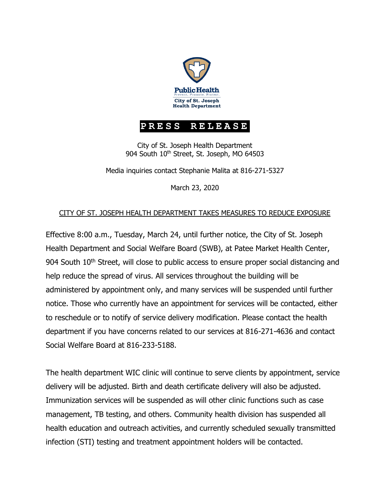

## **PRESS RELEASE**

City of St. Joseph Health Department 904 South 10<sup>th</sup> Street, St. Joseph, MO 64503

Media inquiries contact Stephanie Malita at 816-271-5327

March 23, 2020

## CITY OF ST. JOSEPH HEALTH DEPARTMENT TAKES MEASURES TO REDUCE EXPOSURE

Effective 8:00 a.m., Tuesday, March 24, until further notice, the City of St. Joseph Health Department and Social Welfare Board (SWB), at Patee Market Health Center, 904 South 10<sup>th</sup> Street, will close to public access to ensure proper social distancing and help reduce the spread of virus. All services throughout the building will be administered by appointment only, and many services will be suspended until further notice. Those who currently have an appointment for services will be contacted, either to reschedule or to notify of service delivery modification. Please contact the health department if you have concerns related to our services at 816-271-4636 and contact Social Welfare Board at 816-233-5188.

The health department WIC clinic will continue to serve clients by appointment, service delivery will be adjusted. Birth and death certificate delivery will also be adjusted. Immunization services will be suspended as will other clinic functions such as case management, TB testing, and others. Community health division has suspended all health education and outreach activities, and currently scheduled sexually transmitted infection (STI) testing and treatment appointment holders will be contacted.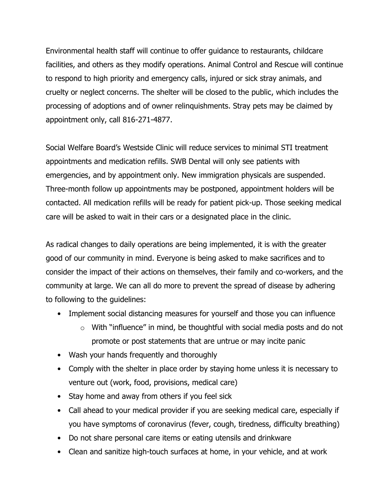Environmental health staff will continue to offer guidance to restaurants, childcare facilities, and others as they modify operations. Animal Control and Rescue will continue to respond to high priority and emergency calls, injured or sick stray animals, and cruelty or neglect concerns. The shelter will be closed to the public, which includes the processing of adoptions and of owner relinquishments. Stray pets may be claimed by appointment only, call 816-271-4877.

Social Welfare Board's Westside Clinic will reduce services to minimal STI treatment appointments and medication refills. SWB Dental will only see patients with emergencies, and by appointment only. New immigration physicals are suspended. Three-month follow up appointments may be postponed, appointment holders will be contacted. All medication refills will be ready for patient pick-up. Those seeking medical care will be asked to wait in their cars or a designated place in the clinic.

As radical changes to daily operations are being implemented, it is with the greater good of our community in mind. Everyone is being asked to make sacrifices and to consider the impact of their actions on themselves, their family and co-workers, and the community at large. We can all do more to prevent the spread of disease by adhering to following to the guidelines:

- Implement social distancing measures for yourself and those you can influence
	- $\circ$  With "influence" in mind, be thoughtful with social media posts and do not promote or post statements that are untrue or may incite panic
- Wash your hands frequently and thoroughly
- Comply with the shelter in place order by staying home unless it is necessary to venture out (work, food, provisions, medical care)
- Stay home and away from others if you feel sick
- Call ahead to your medical provider if you are seeking medical care, especially if you have symptoms of coronavirus (fever, cough, tiredness, difficulty breathing)
- Do not share personal care items or eating utensils and drinkware
- Clean and sanitize high-touch surfaces at home, in your vehicle, and at work